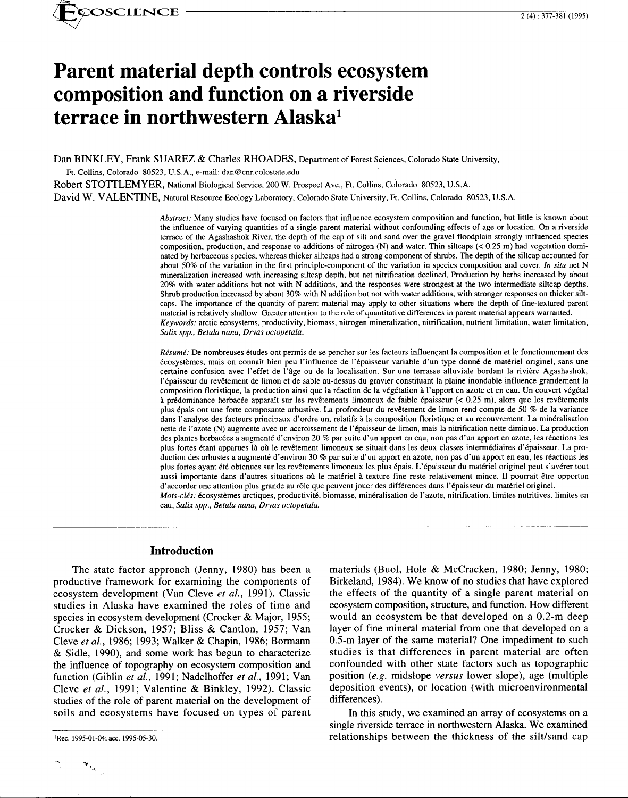

# **Parent material depth controls ecosystem composition and function on a riverside terrace in northwestern Alaska<sup>1</sup>**

Dan BINKLEY, Frank SUAREZ & Charles RHOADES, Department of Forest Sciences, Colorado State University,

Ft. Collins, Colorado 80523, U.S.A., e-mail: dan@cnr.colostate.edu

Robert STOTILEMYER, National Biological Service, 200 W. Prospect Ave., Ft. Collins, Colorado 80523, U.S.A.

David W. VALENTINE, Natural Resource Ecology Laboratory, Colorado State University, Ft. Collins, Colorado 80523, U.S.A.

*Abstract:* Many studies have focused on factors that influence ecosystem composition and function, but little is known about the influence of varying quantities of a single parent material without confounding effects of age or location. On a riverside terrace of the Agashashok River, the depth of the cap of silt and sand over the gravel floodplain strongly influenced species composition, production, and response to additions of nitrogen (N) and water. Thin siltcaps  $( $0.25 \text{ m}$ )$  had vegetation dominated by herbaceous species, whereas thicker siltcaps had a strong component of shrubs. The depth of the siltcap accounted for about 50% of the variation in the first principle-component of the variation in species composition and cover. *In situ* net N mineralization increased with increasing siltcap depth, but net nitrification declined. Production by herbs increased by about 20% with water additions but not with N additions, and the responses were strongest at the two intermediate siltcap depths. Shrub production increased by about 30% with N addition but not with water additions, with stronger responses on thicker siltcaps. The importance of the quantity of parent material may apply to other situations where the depth of fine-textured parent material is relatively shallow. Greater attention to the role of quantitative differences in parent material appears warranted. *Keywords:* arctic ecosystems, productivity, biomass, nitrogen mineralization, nitrification, nutrient limitation, water limitation, *Salix spp., Betula nana, Dryas octopetala.* 

*Résumé:* De nombreuses études ont permis de se pencher sur les facteurs influencant la composition et le fonctionnement des ecosystemes, mais on connait bien peu !'influence de l'epaisseur variable d'un type donne de materiel originel, sans une certaine confusion avec l'effet de l'âge ou de la localisation. Sur une terrasse alluviale bordant la rivière Agashashok, l'épaisseur du revêtement de limon et de sable au-dessus du gravier constituant la plaine inondable influence grandement la composition floristique, la production ainsi que la reaction de la vegetation a l'apport en azote et en eau. Un couvert vegetal à prédominance herbacée apparaît sur les revêtements limoneux de faible épaisseur (< 0.25 m), alors que les revêtements plus epais ont une forte composante arbustive. La profondeur du revetement de limon rend compte de 50 % de la variance dans l'analyse des facteurs principaux d'ordre un, relatifs à la composition floristique et au recouvrement. La minéralisation nette de I' azote (N) augmente avec un accroissement de I' epaisseur de limon, mais la nitrification nette diminue. La production des plantes herbacées a augmenté d'environ 20 % par suite d'un apport en eau, non pas d'un apport en azote, les réactions les plus fortes étant apparues là où le revêtement limoneux se situait dans les deux classes intermédiaires d'épaisseur. La production des arbustes a augmenté d'environ 30 % par suite d'un apport en azote, non pas d'un apport en eau, les réactions les plus fortes ayant été obtenues sur les revêtements limoneux les plus épais. L'épaisseur du matériel originel peut s'avérer tout aussi importante dans d'autres situations où le matériel à texture fine reste relativement mince. Il pourrait être opportun d'accorder une attention plus grande au rôle que peuvent jouer des différences dans l'épaisseur du matériel originel. *Mots-cles:* ecosystemes arctiques, productivite, biomasse, mineralisation de l'azote, nitrification, limites nutritives, limites en eau, *Salix spp., Betula nana, Dryas octopetala.* 

### **Introduction**

The state factor approach (Jenny, 1980) has been a productive framework for examining the components of ecosystem development (Van Cleve *et al.,* 1991). Classic studies in Alaska have examined the roles of time and species in ecosystem development (Crocker & Major, 1955; Crocker & Dickson, 1957; Bliss & Cantlon, 1957; Van Cleve *et al.,* 1986; 1993; Walker & Chapin, 1986; Bormann & Sidle, 1990), and some work has begun to characterize the influence of topography on ecosystem composition and function (Giblin *et al.,* 1991; Nadelhoffer *et al.,* 1991; Van Cleve *et al.,* 1991; Valentine & Binkley, 1992). Classic studies of the role of parent material on the development of soils and ecosystems have focused on types of parent

materials (Buol, Hole & McCracken, 1980; Jenny, 1980; Birkeland, 1984). We know of no studies that have explored the effects of the quantity of a single parent material on ecosystem composition, structure, and function. How different would an ecosystem be that developed on a 0.2-m deep layer of fine mineral material from one that developed on a 0.5-m layer of the same material? One impediment to such studies is that differences in parent material are often confounded with other state factors such as topographic position *(e.g.* midslope *versus* lower slope), age (multiple deposition events), or location (with microenvironmental differences).

·------------------------------

In this study, we examined an array of ecosystems on a single riverside terrace in northwestern Alaska. We examined relationships between the thickness of the silt/sand cap

 $\mathcal{P}_{\mathcal{M}}$ 

<sup>1</sup>Rec. 1995-01-04; acc. 1995-05-30.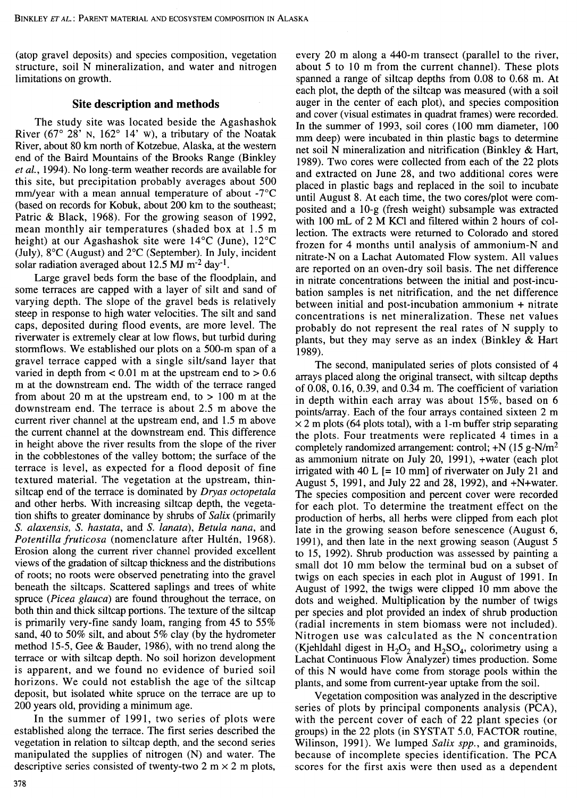(atop gravel deposits) and species composition, vegetation structure, soil N mineralization, and water and nitrogen limitations on growth.

## **Site description and methods**

The study site was located beside the Agashashok River (67 $\degree$  28' N, 162 $\degree$  14' w), a tributary of the Noatak River, about 80 km north of Kotzebue, Alaska, at the western end of the Baird Mountains of the Brooks Range (Binkley *et al.,* 1994). No long-term weather records are available for this site, but precipitation probably averages about 500 mm/year with a mean annual temperature of about -7°C (based on records for Kobuk, about 200 km to the southeast; Patric & Black, 1968). For the growing season of 1992, mean monthly air temperatures (shaded box at 1.5 m height) at our Agashashok site were 14°C (June), 12°C (July), 8°C (August) and 2°C (September). In July, incident solar radiation averaged about  $12.5$  MJ m<sup>-2</sup> day<sup>-1</sup>.

Large gravel beds form the base of the floodplain, and some terraces are capped with a layer of silt and sand of varying depth. The slope of the gravel beds is relatively steep in response to high water velocities. The silt and sand caps, deposited during flood events, are more level. The riverwater is extremely clear at low flows, but turbid during stormflows. We established our plots on a 500-m span of a gravel terrace capped with a single silt/sand layer that varied in depth from  $< 0.01$  m at the upstream end to  $> 0.6$ m at the downstream end. The width of the terrace ranged from about 20 m at the upstream end, to  $> 100$  m at the downstream end. The terrace is about 2.5 m above the current river channel at the upstream end, and 1.5 m above the current channel at the downstream end. This difference in height above the river results from the slope of the river in the cobblestones of the valley bottom; the surface of the terrace is level, as expected for a flood deposit of fine textured material. The vegetation at the upstream, thinsiltcap end of the terrace is dominated by *Dryas octopetala*  and other herbs. With increasing siltcap depth, the vegetation shifts to greater dominance by shrubs of *Salix* (primarily S. *alaxensis,* S. *hastata,* and S. *lanata), Betula nana,* and Potentilla fruticosa (nomenclature after Hultén, 1968). Erosion along the current river channel provided excellent views of the gradation of siltcap thickness and the distributions of roots; no roots were observed penetrating into the gravel beneath the siltcaps. Scattered saplings and trees of white spruce *(Picea glauca)* are found throughout the terrace, on both thin and thick siltcap portions. The texture of the siltcap is primarily very-fine sandy loam, ranging from 45 to 55% sand, 40 to 50% silt, and about 5% clay (by the hydrometer method 15-5, Gee & Bauder, 1986), with no trend along the terrace or with siltcap depth. No soil horizon development is apparent, and we found no evidence of buried soil horizons. We could not establish the age of the siltcap deposit, but isolated white spruce on the terrace are up to 200 years old, providing a minimum age.

In the summer of 1991, two series of plots were established along the terrace. The first series described the vegetation in relation to siltcap depth, and the second series manipulated the supplies of nitrogen (N) and water. The descriptive series consisted of twenty-two 2 m  $\times$  2 m plots, every 20 m along a 440-m transect (parallel to the river, about 5 to 10 m from the current channel). These plots spanned a range of siltcap depths from 0.08 to 0.68 m. At each plot, the depth of the siltcap was measured (with a soil auger in the center of each plot), and species composition and cover (visual estimates in quadrat frames) were recorded. In the summer of 1993, soil cores (100 mm diameter, 100 mm deep) were incubated in thin plastic bags to determine net soil N mineralization and nitrification (Binkley & Hart, 1989). Two cores were collected from each of the 22 plots and extracted on June 28, and two additional cores were placed in plastic bags and replaced in the soil to incubate until August 8. At each time, the two cores/plot were composited and a 10-g (fresh weight) subsample was extracted with 100 mL of 2 M KCl and filtered within 2 hours of collection. The extracts were returned to Colorado and stored frozen for 4 months until analysis of ammonium-N and nitrate-N on a Lachat Automated Flow system. All values are reported on an oven-dry soil basis. The net difference in nitrate concentrations between the initial and post-incubation samples is net nitrification, and the net difference between initial and post-incubation ammonium + nitrate concentrations is net mineralization. These net values probably do not represent the real rates of N supply to plants, but they may serve as an index (Binkley & Hart 1989).

The second, manipulated series of plots consisted of 4 arrays placed along the original transect, with siltcap depths of 0.08, 0.16, 0.39, and 0.34 m. The coefficient of variation in depth within each array was about 15%, based on 6 points/array. Each of the four arrays contained sixteen 2 m  $\times$  2 m plots (64 plots total), with a 1-m buffer strip separating the plots. Four treatments were replicated 4 times in a completely randomized arrangement: control;  $+N(15 g-N/m^2)$ as ammonium nitrate on July 20, 1991), +water (each plot irrigated with 40 L  $[= 10$  mm of riverwater on July 21 and August 5, 1991, and July 22 and 28, 1992), and +N+water. The species composition and percent cover were recorded for each plot. To determine the treatment effect on the production of herbs, all herbs were clipped from each plot late in the growing season before senescence (August 6, 1991), and then late in the next growing season (August 5 to 15, 1992). Shrub production was assessed by painting a small dot 10 mm below the terminal bud on a subset of twigs on each species in each plot in August of 1991. In August of 1992, the twigs were clipped 10 mm above the dots and weighed. Multiplication by the number of twigs per species and plot provided an index of shrub production (radial increments in stem biomass were not included). Nitrogen use was calculated as the N concentration (Kjehldahl digest in  $H_2O_2$  and  $H_2SO_4$ , colorimetry using a Lachat Continuous Flow Analyzer) times production. Some of this N would have come from storage pools within the plants, and some from current-year uptake from the soil.

Vegetation composition was analyzed in the descriptive series of plots by principal components analysis (PCA), with the percent cover of each of 22 plant species (or groups) in the 22 plots (in SYSTAT 5.0, FACTOR routine, Wilinson, 1991). We lumped *Salix spp.*, and graminoids, because of incomplete species identification. The PCA scores for the first axis were then used as a dependent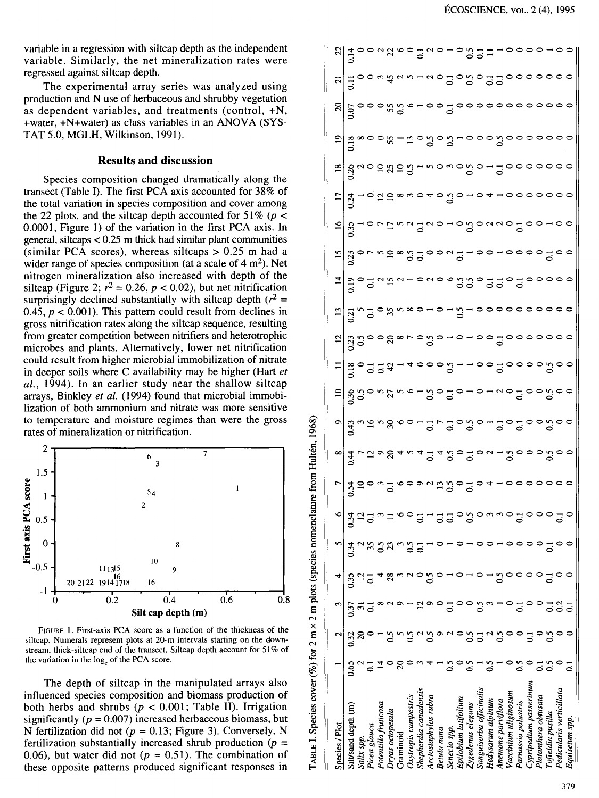variable in a regression with siltcap depth as the independent variable. Similarly, the net mineralization rates were regressed against siltcap depth.

The experimental array series was analyzed using production and N use of herbaceous and shrubby vegetation as dependent variables, and treatments (control, +N, +water, +N+water) as class variables in an ANOVA (SYS-TAT 5.0, MGLH, Wilkinson, 1991).

# **Results and discussion**

Species composition changed dramatically along the transect (Table I). The first PCA axis accounted for 38% of the total variation in species composition and cover among the 22 plots, and the siltcap depth accounted for  $51\%$  (p < 0.0001, Figure I) of the variation in the first PCA axis. In general, siltcaps  $< 0.25$  m thick had similar plant communities (similar PCA scores), whereas siltcaps  $> 0.25$  m had a wider range of species composition (at a scale of  $4 \text{ m}^2$ ). Net nitrogen mineralization also increased with depth of the siltcap (Figure 2;  $r^2 = 0.26$ ,  $p < 0.02$ ), but net nitrification surprisingly declined substantially with siltcap depth ( $r^2$  = 0.45,  $p < 0.001$ ). This pattern could result from declines in gross nitrification rates along the siltcap sequence, resulting from greater competition between nitrifiers and heterotrophic microbes and plants. Alternatively, lower net nitrification could result from higher microbial immobilization of nitrate in deeper soils where C availability may be higher (Hart *et*  al., 1994). In an earlier study near the shallow siltcap arrays, Binkley *et al.* (1994) found that microbial immobilization of both ammonium and nitrate was more sensitive to temperature and moisture regimes than were the gross rates of mineralization or nitrification.



TABLE I. Species cover (%) for 2 m  $\times$  2 m plots (species nomenclature from Hultén, 1968)

FIGURE I. First-axis PCA score as a function of the thickness of the siltcap. Numerals represent plots at 20-m intervals starting on the downstream, thick-siltcap end of the transect. Siltcap depth account for 51% of the variation in the log<sub>e</sub> of the PCA score.

The depth of siltcap in the manipulated arrays also influenced species composition and biomass production of both herbs and shrubs ( $p < 0.001$ ; Table II). Irrigation significantly  $(p = 0.007)$  increased herbaceous biomass, but N fertilization did not  $(p = 0.13$ ; Figure 3). Conversely, N fertilization substantially increased shrub production *(p* = 0.06), but water did not ( $p = 0.51$ ). The combination of these opposite patterns produced significant responses in

| Species / Plot           |     | $\mathbf{\hat{c}}$ | $\mathbf{r}$ | 4    |             |                                                                        |                                                                                                                   |                                                                                                                                                                                                                                                                                                                     |                                                                   |                                                                                                                                                                             | $\equiv$ |                                                     |                             | $\vec{a}$               | اً =                   | $\overline{17}$ |                            | <u>ଅ</u> | $\frac{1}{2}$ |                                                                                                                                                                                                                                                                                                                       |
|--------------------------|-----|--------------------|--------------|------|-------------|------------------------------------------------------------------------|-------------------------------------------------------------------------------------------------------------------|---------------------------------------------------------------------------------------------------------------------------------------------------------------------------------------------------------------------------------------------------------------------------------------------------------------------|-------------------------------------------------------------------|-----------------------------------------------------------------------------------------------------------------------------------------------------------------------------|----------|-----------------------------------------------------|-----------------------------|-------------------------|------------------------|-----------------|----------------------------|----------|---------------|-----------------------------------------------------------------------------------------------------------------------------------------------------------------------------------------------------------------------------------------------------------------------------------------------------------------------|
| Silt/sand depth (m)      | 890 | 0.32               | 33           | 0.35 | $\tilde{z}$ | $\sigma$   $\frac{2}{3}$ $\sigma$ $\frac{2}{3}$ $\sigma$ $\frac{2}{3}$ | $L$   $\vec{a}$ ' $\vec{a}$ 5 0 $\omega$ $\Omega$ 0 0 0 0 0 $\omega$ $\vec{a}$ 6 0 $\Omega$ 0 $\Omega$ 0 $\Omega$ | $\frac{1}{2}$ $\frac{1}{4}$ $\frac{1}{4}$ $\frac{1}{4}$ $\frac{1}{8}$ $\frac{1}{4}$ $\frac{1}{4}$ $\frac{1}{4}$ $\frac{1}{4}$ $\frac{1}{4}$ $\frac{1}{4}$ $\frac{1}{4}$ $\frac{1}{4}$ $\frac{1}{4}$ $\frac{1}{4}$ $\frac{1}{4}$ $\frac{1}{4}$ $\frac{1}{4}$ $\frac{1}{4}$ $\frac{1}{4}$ $\frac{1}{4}$ $\frac{1}{4}$ | $\sigma$   g n g n g o o $-$ g $\sim$ g o g o $-$ g o g o o g o o | $=$ $\frac{1}{2}$ $\frac{1}{2}$ $\frac{1}{2}$ $\frac{1}{2}$ $\frac{1}{2}$ $\frac{1}{2}$ $\frac{1}{2}$ $\frac{1}{2}$ $\frac{1}{2}$ $\frac{1}{2}$ $\frac{1}{2}$ $\frac{1}{2}$ |          | d   g g o o g ∞ r o g o - o - o o g o o o o o o o o | aldw30 xwx0-0-2-00000000000 |                         |                        |                 | alguosasa-nonogo-300000000 |          |               | $\frac{25}{11}$ $\frac{1}{2}$ $\frac{1}{2}$ $\frac{1}{2}$ $\frac{1}{2}$ $\frac{1}{2}$ $\frac{1}{2}$ $\frac{1}{2}$ $\frac{1}{2}$ $\frac{1}{2}$ $\frac{1}{2}$ $\frac{1}{2}$ $\frac{1}{2}$ $\frac{1}{2}$ $\frac{1}{2}$ $\frac{1}{2}$ $\frac{1}{2}$ $\frac{1}{2}$ $\frac{1}{2}$ $\frac{1}{2}$ $\frac{1}{2}$ $\frac{1}{2}$ |
| Salix spp.               |     |                    |              |      |             |                                                                        |                                                                                                                   |                                                                                                                                                                                                                                                                                                                     |                                                                   |                                                                                                                                                                             |          |                                                     |                             | 303334-0806330530500000 | 8-00200200-080000-000- |                 |                            |          |               |                                                                                                                                                                                                                                                                                                                       |
| Picea glauca             |     |                    |              |      |             |                                                                        |                                                                                                                   |                                                                                                                                                                                                                                                                                                                     |                                                                   |                                                                                                                                                                             |          |                                                     |                             |                         |                        |                 |                            |          |               |                                                                                                                                                                                                                                                                                                                       |
| Potentilla fruticosa     |     |                    |              |      |             |                                                                        |                                                                                                                   |                                                                                                                                                                                                                                                                                                                     |                                                                   |                                                                                                                                                                             |          |                                                     |                             |                         |                        |                 |                            |          |               |                                                                                                                                                                                                                                                                                                                       |
| Dryas octopetala         |     |                    |              |      |             |                                                                        |                                                                                                                   |                                                                                                                                                                                                                                                                                                                     |                                                                   |                                                                                                                                                                             |          |                                                     |                             |                         |                        |                 |                            |          |               |                                                                                                                                                                                                                                                                                                                       |
| Graminoid                |     |                    |              |      |             |                                                                        |                                                                                                                   |                                                                                                                                                                                                                                                                                                                     |                                                                   |                                                                                                                                                                             |          |                                                     |                             |                         |                        |                 |                            |          |               |                                                                                                                                                                                                                                                                                                                       |
| Oxytropis campestris     |     |                    |              |      |             | $\frac{1}{2}$                                                          |                                                                                                                   |                                                                                                                                                                                                                                                                                                                     |                                                                   |                                                                                                                                                                             |          |                                                     |                             |                         |                        |                 |                            |          |               |                                                                                                                                                                                                                                                                                                                       |
| Shepherdia canadensis    |     |                    |              |      |             |                                                                        |                                                                                                                   |                                                                                                                                                                                                                                                                                                                     |                                                                   |                                                                                                                                                                             |          |                                                     |                             |                         |                        |                 |                            |          |               |                                                                                                                                                                                                                                                                                                                       |
| Arctostaphylos rubra     |     | $\mathbb{S}^1$     |              |      |             |                                                                        |                                                                                                                   |                                                                                                                                                                                                                                                                                                                     |                                                                   |                                                                                                                                                                             |          |                                                     |                             |                         |                        |                 |                            |          |               |                                                                                                                                                                                                                                                                                                                       |
| Betula nana              |     | ۰                  |              |      |             |                                                                        |                                                                                                                   |                                                                                                                                                                                                                                                                                                                     |                                                                   |                                                                                                                                                                             |          |                                                     |                             |                         |                        |                 |                            |          |               |                                                                                                                                                                                                                                                                                                                       |
| Senecio spp              | ွ   |                    |              |      |             |                                                                        |                                                                                                                   |                                                                                                                                                                                                                                                                                                                     |                                                                   |                                                                                                                                                                             |          |                                                     |                             |                         |                        |                 |                            |          |               |                                                                                                                                                                                                                                                                                                                       |
| Epilobium latifolium     |     |                    |              |      |             | nda da a a a a a                                                       |                                                                                                                   |                                                                                                                                                                                                                                                                                                                     |                                                                   |                                                                                                                                                                             |          |                                                     |                             |                         |                        |                 |                            |          |               |                                                                                                                                                                                                                                                                                                                       |
| Zygedenus elegans        | ္မ  | ္မ                 |              |      |             |                                                                        |                                                                                                                   |                                                                                                                                                                                                                                                                                                                     |                                                                   |                                                                                                                                                                             |          |                                                     |                             |                         |                        |                 |                            |          |               |                                                                                                                                                                                                                                                                                                                       |
| Sanguisorba officinalis  |     |                    | $\mathbf{S}$ |      |             |                                                                        |                                                                                                                   |                                                                                                                                                                                                                                                                                                                     |                                                                   |                                                                                                                                                                             |          |                                                     |                             |                         |                        |                 |                            |          |               |                                                                                                                                                                                                                                                                                                                       |
| Hedysarum alpinum        |     |                    |              |      |             |                                                                        |                                                                                                                   |                                                                                                                                                                                                                                                                                                                     |                                                                   | $-0 - 2000000$                                                                                                                                                              |          |                                                     |                             |                         |                        |                 |                            |          |               |                                                                                                                                                                                                                                                                                                                       |
| Anemone parviflora       |     | $\overline{0.5}$   |              |      |             |                                                                        | $-00000000$                                                                                                       |                                                                                                                                                                                                                                                                                                                     |                                                                   |                                                                                                                                                                             |          |                                                     |                             |                         |                        |                 |                            |          |               |                                                                                                                                                                                                                                                                                                                       |
| Vaccinium uliginosum     |     |                    |              |      |             |                                                                        |                                                                                                                   |                                                                                                                                                                                                                                                                                                                     |                                                                   |                                                                                                                                                                             |          |                                                     |                             |                         |                        |                 |                            |          |               |                                                                                                                                                                                                                                                                                                                       |
| Parnassia palustris      | ွ   |                    |              |      |             |                                                                        |                                                                                                                   |                                                                                                                                                                                                                                                                                                                     |                                                                   |                                                                                                                                                                             |          |                                                     |                             |                         |                        |                 |                            |          |               |                                                                                                                                                                                                                                                                                                                       |
| Cypripedium passerinum   |     |                    |              |      |             |                                                                        |                                                                                                                   |                                                                                                                                                                                                                                                                                                                     |                                                                   |                                                                                                                                                                             |          |                                                     |                             |                         |                        |                 |                            |          |               |                                                                                                                                                                                                                                                                                                                       |
| Platanthera obtusata     | ៑   |                    |              |      |             |                                                                        |                                                                                                                   |                                                                                                                                                                                                                                                                                                                     |                                                                   |                                                                                                                                                                             |          |                                                     |                             |                         |                        |                 |                            |          |               |                                                                                                                                                                                                                                                                                                                       |
| Tofieldia pusilla        | ွ   | $\mathbf{S}$       |              |      |             |                                                                        |                                                                                                                   |                                                                                                                                                                                                                                                                                                                     |                                                                   |                                                                                                                                                                             |          |                                                     |                             |                         |                        |                 |                            |          |               | $\overline{\phantom{0}}$                                                                                                                                                                                                                                                                                              |
| Pedicularis verticillata |     |                    |              |      |             |                                                                        |                                                                                                                   |                                                                                                                                                                                                                                                                                                                     |                                                                   |                                                                                                                                                                             |          |                                                     |                             |                         |                        |                 |                            |          |               |                                                                                                                                                                                                                                                                                                                       |
| Equisetum spp.           |     |                    |              |      |             |                                                                        |                                                                                                                   |                                                                                                                                                                                                                                                                                                                     |                                                                   |                                                                                                                                                                             |          |                                                     |                             |                         |                        |                 |                            |          |               |                                                                                                                                                                                                                                                                                                                       |
|                          |     |                    |              |      |             |                                                                        |                                                                                                                   |                                                                                                                                                                                                                                                                                                                     |                                                                   |                                                                                                                                                                             |          |                                                     |                             |                         |                        |                 |                            |          |               |                                                                                                                                                                                                                                                                                                                       |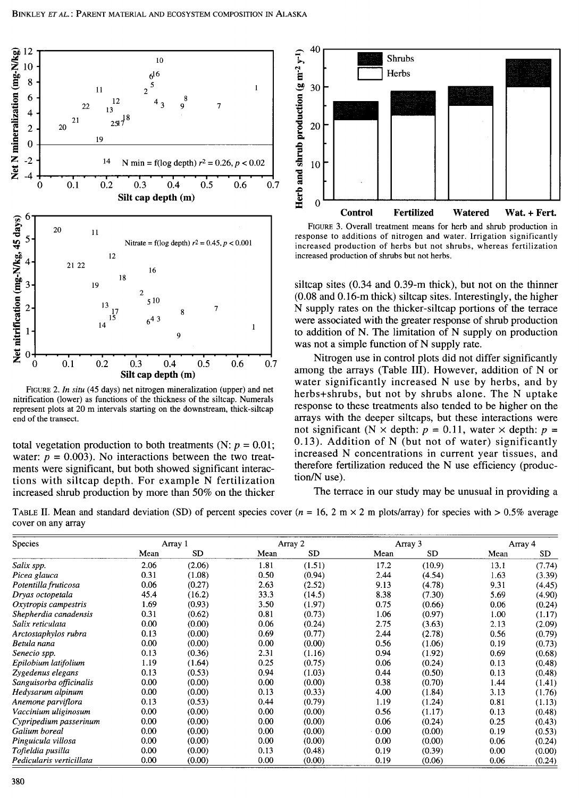

FIGURE 2. *In situ* (45 days) net nitrogen mineralization (upper) and net nitrification (lower) as functions of the thickness of the siltcap. Numerals represent plots at 20 m intervals starting on the downstream, thick-siltcap end of the transect.

total vegetation production to both treatments (N:  $p = 0.01$ ; water:  $p = 0.003$ ). No interactions between the two treatments were significant, but both showed significant interactions with siltcap depth. For example N fertilization increased shrub production by more than 50% on the thicker



FIGURE 3. Overall treatment means for herb and shrub production in response to additions of nitrogen and water. Irrigation significantly increased production of herbs but not shrubs, whereas fertilization increased production of shrubs but not herbs.

siltcap sites (0.34 and 0.39-m thick), but not on the thinner (0.08 and 0.16-m thick) siltcap sites. Interestingly, the higher N supply rates on the thicker-siltcap portions of the terrace were associated with the greater response of shrub production to addition of N. The limitation of N supply on production was not a simple function of N supply rate.

Nitrogen use in control plots did not differ significantly among the arrays (Table III). However, addition of N or water significantly increased N use by herbs, and by herbs+shrubs, but not by shrubs alone. The N uptake response to these treatments also tended to be higher on the arrays with the deeper siltcaps, but these interactions were not significant (N  $\times$  depth:  $p = 0.11$ , water  $\times$  depth:  $p =$ 0.13). Addition of N (but not of water) significantly increased N concentrations in current year tissues, and therefore fertilization reduced the N use efficiency (production/N use).

The terrace in our study may be unusual in providing a

TABLE II. Mean and standard deviation (SD) of percent species cover  $(n = 16, 2 \text{ m} \times 2 \text{ m}$  plots/array) for species with  $> 0.5\%$  average cover on any array

| Species                  |      | Array 1   |      | Array 2   |      | Array 3 |      | Array 4 |
|--------------------------|------|-----------|------|-----------|------|---------|------|---------|
|                          | Mean | <b>SD</b> | Mean | <b>SD</b> | Mean | SD.     | Mean | SD.     |
| Salix spp.               | 2.06 | (2.06)    | 1.81 | (1.51)    | 17.2 | (10.9)  | 13.1 | (7.74)  |
| Picea glauca             | 0.31 | (1.08)    | 0.50 | (0.94)    | 2.44 | (4.54)  | 1.63 | (3.39)  |
| Potentilla fruticosa     | 0.06 | (0.27)    | 2.63 | (2.52)    | 9.13 | (4.78)  | 9.31 | (4.45)  |
| Dryas octopetala         | 45.4 | (16.2)    | 33.3 | (14.5)    | 8.38 | (7.30)  | 5.69 | (4.90)  |
| Oxytropis campestris     | 1.69 | (0.93)    | 3.50 | (1.97)    | 0.75 | (0.66)  | 0.06 | (0.24)  |
| Shepherdia canadensis    | 0.31 | (0.62)    | 0.81 | (0.73)    | 1.06 | (0.97)  | 1.00 | (1.17)  |
| Salix reticulata         | 0.00 | (0.00)    | 0.06 | (0.24)    | 2.75 | (3.63)  | 2.13 | (2.09)  |
| Arctostaphylos rubra     | 0.13 | (0.00)    | 0.69 | (0.77)    | 2.44 | (2.78)  | 0.56 | (0.79)  |
| Betula nana              | 0.00 | (0.00)    | 0.00 | (0.00)    | 0.56 | (1.06)  | 0.19 | (0.73)  |
| Senecio spp.             | 0.13 | (0.36)    | 2.31 | (1.16)    | 0.94 | (1.92)  | 0.69 | (0.68)  |
| Epilobium latifolium     | 1.19 | (1.64)    | 0.25 | (0.75)    | 0.06 | (0.24)  | 0.13 | (0.48)  |
| Zygedenus elegans        | 0.13 | (0.53)    | 0.94 | (1.03)    | 0.44 | (0.50)  | 0.13 | (0.48)  |
| Sanguisorba officinalis  | 0.00 | (0.00)    | 0.00 | (0.00)    | 0.38 | (0.70)  | 1.44 | (1.41)  |
| Hedysarum alpinum        | 0.00 | (0.00)    | 0.13 | (0.33)    | 4.00 | (1.84)  | 3.13 | (1.76)  |
| Anemone parviflora       | 0.13 | (0.53)    | 0.44 | (0.79)    | 1.19 | (1.24)  | 0.81 | (1.13)  |
| Vaccinium uliginosum     | 0.00 | (0.00)    | 0.00 | (0.00)    | 0.56 | (1.17)  | 0.13 | (0.48)  |
| Cypripedium passerinum   | 0.00 | (0.00)    | 0.00 | (0.00)    | 0.06 | (0.24)  | 0.25 | (0.43)  |
| Galium boreal            | 0.00 | (0.00)    | 0.00 | (0.00)    | 0.00 | (0.00)  | 0.19 | (0.53)  |
| Pinguicula villosa       | 0.00 | (0.00)    | 0.00 | (0.00)    | 0.00 | (0.00)  | 0.06 | (0.24)  |
| Tofieldia pusilla        | 0.00 | (0.00)    | 0.13 | (0.48)    | 0.19 | (0.39)  | 0.00 | (0.00)  |
| Pedicularis verticillata | 0.00 | (0.00)    | 0.00 | (0.00)    | 0.19 | (0.06)  | 0.06 | (0.24)  |